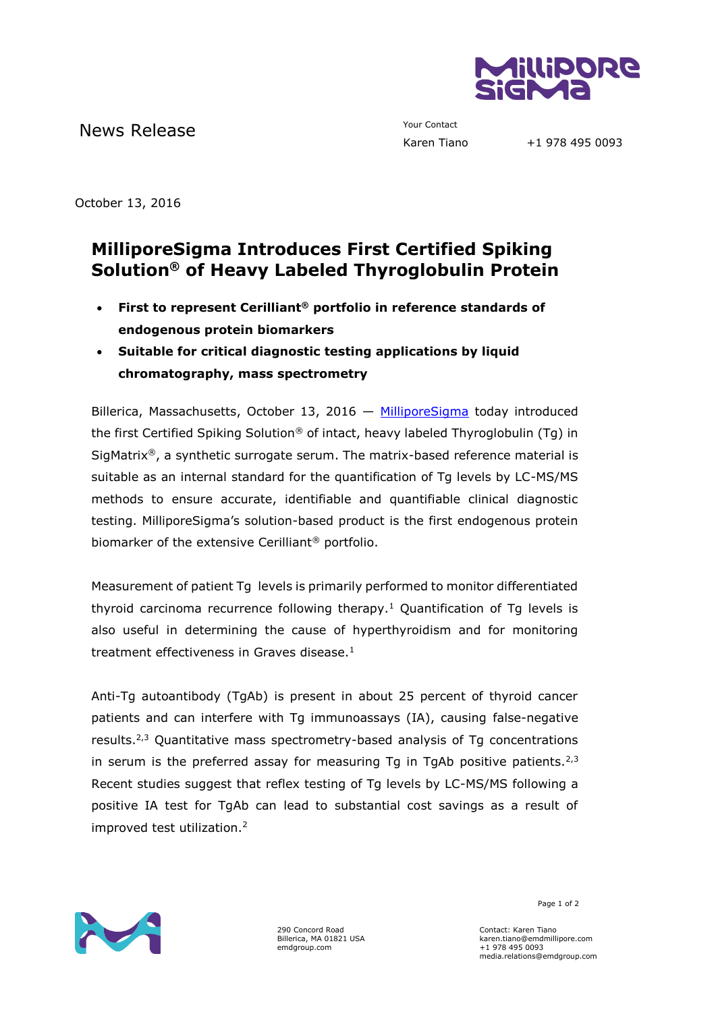

News Release The Contact Your Contact Tiano

October 13, 2016

## **MilliporeSigma Introduces First Certified Spiking Solution® of Heavy Labeled Thyroglobulin Protein**

- **First to represent Cerilliant® portfolio in reference standards of endogenous protein biomarkers**
- **Suitable for critical diagnostic testing applications by liquid chromatography, mass spectrometry**

Billerica, Massachusetts, October 13, 2016  $-$  [MilliporeSigma](http://www.emdgroup.com/emd/products/life_science/life_science.html) today introduced the first Certified Spiking Solution® of intact, heavy labeled Thyroglobulin (Tg) in SigMatrix®, a synthetic surrogate serum. The matrix-based reference material is suitable as an internal standard for the quantification of Tg levels by LC-MS/MS methods to ensure accurate, identifiable and quantifiable clinical diagnostic testing. MilliporeSigma's solution-based product is the first endogenous protein biomarker of the extensive Cerilliant® portfolio.

Measurement of patient Tg levels is primarily performed to monitor differentiated thyroid carcinoma recurrence following therapy.<sup>1</sup> Quantification of Tg levels is also useful in determining the cause of hyperthyroidism and for monitoring treatment effectiveness in Graves disease.<sup>1</sup>

Anti-Tg autoantibody (TgAb) is present in about 25 percent of thyroid cancer patients and can interfere with Tg immunoassays (IA), causing false-negative results.2,3 Quantitative mass spectrometry-based analysis of Tg concentrations in serum is the preferred assay for measuring Tq in TgAb positive patients.<sup>2,3</sup> Recent studies suggest that reflex testing of Tg levels by LC-MS/MS following a positive IA test for TgAb can lead to substantial cost savings as a result of improved test utilization.2



290 Concord Road Billerica, MA 01821 USA emdgroup.com

Page 1 of 2

Contact: Karen Tiano karen.tiano@emdmillipore.com +1 978 495 0093 media.relations@emdgroup.com